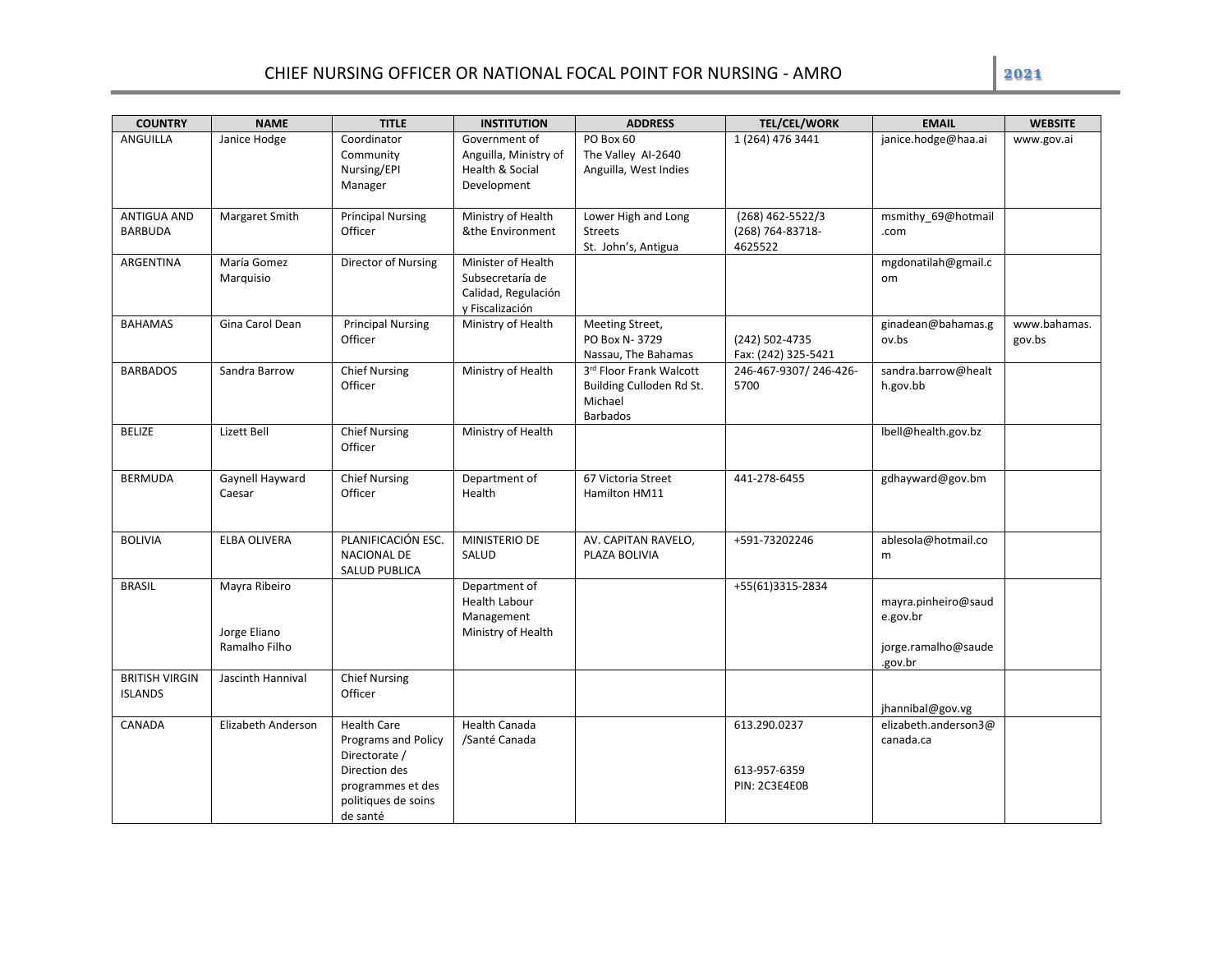| <b>COUNTRY</b>                          | <b>NAME</b>                                    | <b>TITLE</b>                                                                                                                               | <b>INSTITUTION</b>                                                               | <b>ADDRESS</b>                                                                    | <b>TEL/CEL/WORK</b>                             | <b>EMAIL</b>                                                      | <b>WEBSITE</b>         |
|-----------------------------------------|------------------------------------------------|--------------------------------------------------------------------------------------------------------------------------------------------|----------------------------------------------------------------------------------|-----------------------------------------------------------------------------------|-------------------------------------------------|-------------------------------------------------------------------|------------------------|
| ANGUILLA                                | Janice Hodge                                   | Coordinator<br>Community<br>Nursing/EPI<br>Manager                                                                                         | Government of<br>Anguilla, Ministry of<br>Health & Social<br>Development         | PO Box 60<br>The Valley Al-2640<br>Anguilla, West Indies                          | 1 (264) 476 3441                                | janice.hodge@haa.ai                                               | www.gov.ai             |
| ANTIGUA AND<br><b>BARBUDA</b>           | Margaret Smith                                 | <b>Principal Nursing</b><br>Officer                                                                                                        | Ministry of Health<br>&the Environment                                           | Lower High and Long<br><b>Streets</b><br>St. John's, Antigua                      | (268) 462-5522/3<br>(268) 764-83718-<br>4625522 | msmithy_69@hotmail<br>.com                                        |                        |
| ARGENTINA                               | María Gomez<br>Marquisio                       | Director of Nursing                                                                                                                        | Minister of Health<br>Subsecretaría de<br>Calidad, Regulación<br>y Fiscalización |                                                                                   |                                                 | mgdonatilah@gmail.c<br><b>om</b>                                  |                        |
| <b>BAHAMAS</b>                          | Gina Carol Dean                                | <b>Principal Nursing</b><br>Officer                                                                                                        | Ministry of Health                                                               | Meeting Street,<br>PO Box N-3729<br>Nassau, The Bahamas                           | (242) 502-4735<br>Fax: (242) 325-5421           | ginadean@bahamas.g<br>ov.bs                                       | www.bahamas.<br>gov.bs |
| <b>BARBADOS</b>                         | Sandra Barrow                                  | <b>Chief Nursing</b><br>Officer                                                                                                            | Ministry of Health                                                               | 3rd Floor Frank Walcott<br>Building Culloden Rd St.<br>Michael<br><b>Barbados</b> | 246-467-9307/246-426-<br>5700                   | sandra.barrow@healt<br>h.gov.bb                                   |                        |
| <b>BELIZE</b>                           | Lizett Bell                                    | Chief Nursing<br>Officer                                                                                                                   | Ministry of Health                                                               |                                                                                   |                                                 | lbell@health.gov.bz                                               |                        |
| <b>BERMUDA</b>                          | Gaynell Hayward<br>Caesar                      | <b>Chief Nursing</b><br>Officer                                                                                                            | Department of<br>Health                                                          | 67 Victoria Street<br>Hamilton HM11                                               | 441-278-6455                                    | gdhayward@gov.bm                                                  |                        |
| <b>BOLIVIA</b>                          | ELBA OLIVERA                                   | PLANIFICACIÓN ESC.<br><b>NACIONAL DE</b><br><b>SALUD PUBLICA</b>                                                                           | MINISTERIO DE<br>SALUD                                                           | AV. CAPITAN RAVELO,<br>PLAZA BOLIVIA                                              | +591-73202246                                   | ablesola@hotmail.co<br>m                                          |                        |
| <b>BRASIL</b>                           | Mayra Ribeiro<br>Jorge Eliano<br>Ramalho Filho |                                                                                                                                            | Department of<br>Health Labour<br>Management<br>Ministry of Health               |                                                                                   | +55(61)3315-2834                                | mayra.pinheiro@saud<br>e.gov.br<br>jorge.ramalho@saude<br>.gov.br |                        |
| <b>BRITISH VIRGIN</b><br><b>ISLANDS</b> | Jascinth Hannival                              | <b>Chief Nursing</b><br>Officer                                                                                                            |                                                                                  |                                                                                   |                                                 | jhannibal@gov.vg                                                  |                        |
| CANADA                                  | Elizabeth Anderson                             | <b>Health Care</b><br><b>Programs and Policy</b><br>Directorate /<br>Direction des<br>programmes et des<br>politiques de soins<br>de santé | <b>Health Canada</b><br>/Santé Canada                                            |                                                                                   | 613.290.0237<br>613-957-6359<br>PIN: 2C3E4E0B   | elizabeth.anderson3@<br>canada.ca                                 |                        |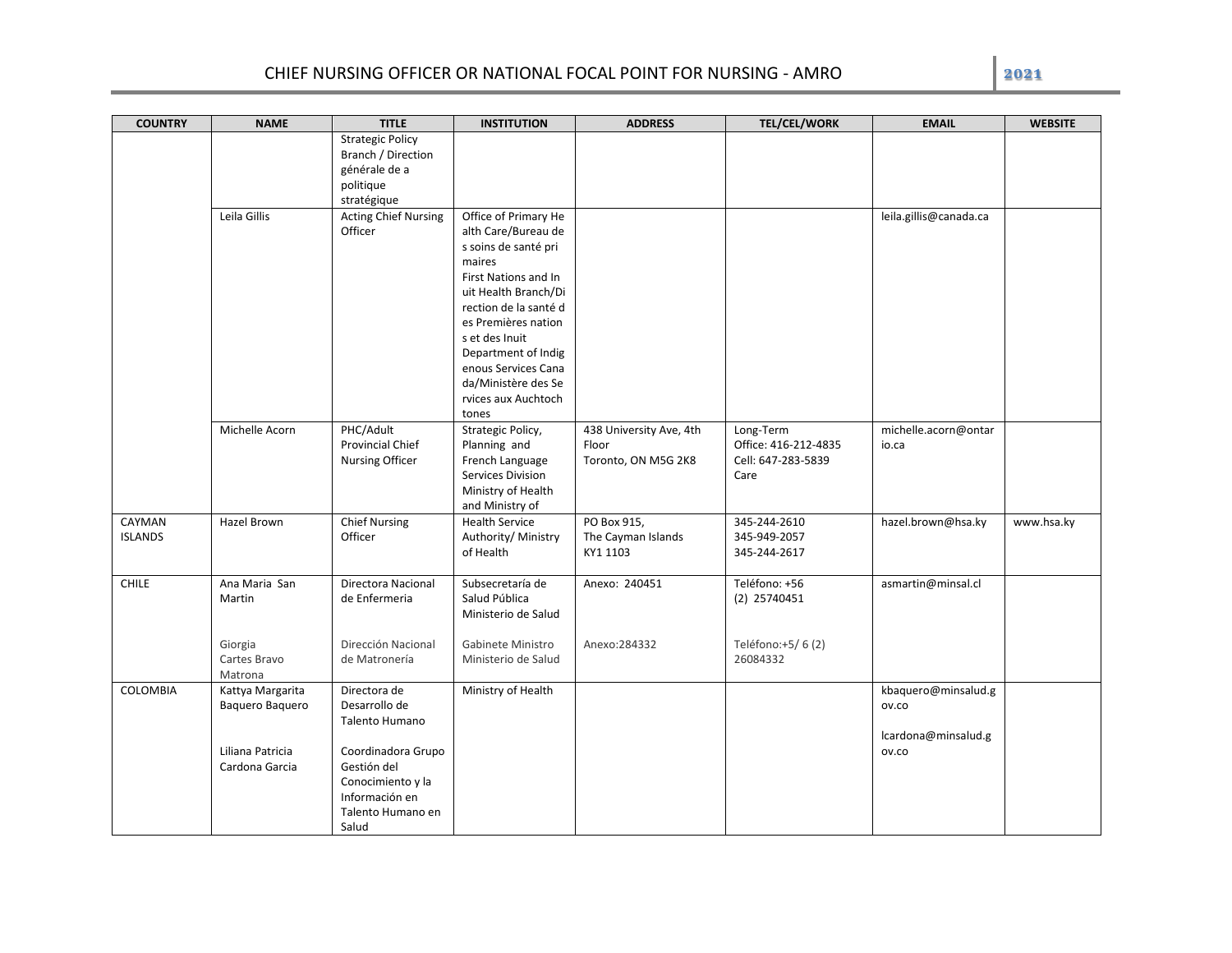| <b>COUNTRY</b>           | <b>NAME</b>                         | <b>TITLE</b>                                                                                           | <b>INSTITUTION</b>                                                                                                                                                                                                                                                                                   | <b>ADDRESS</b>                                          | <b>TEL/CEL/WORK</b>                                             | <b>EMAIL</b>                                        | <b>WEBSITE</b> |
|--------------------------|-------------------------------------|--------------------------------------------------------------------------------------------------------|------------------------------------------------------------------------------------------------------------------------------------------------------------------------------------------------------------------------------------------------------------------------------------------------------|---------------------------------------------------------|-----------------------------------------------------------------|-----------------------------------------------------|----------------|
|                          |                                     | <b>Strategic Policy</b><br>Branch / Direction<br>générale de a                                         |                                                                                                                                                                                                                                                                                                      |                                                         |                                                                 |                                                     |                |
|                          |                                     | politique<br>stratégique                                                                               |                                                                                                                                                                                                                                                                                                      |                                                         |                                                                 |                                                     |                |
|                          | Leila Gillis                        | <b>Acting Chief Nursing</b><br>Officer                                                                 | Office of Primary He<br>alth Care/Bureau de<br>s soins de santé pri<br>maires<br>First Nations and In<br>uit Health Branch/Di<br>rection de la santé d<br>es Premières nation<br>s et des Inuit<br>Department of Indig<br>enous Services Cana<br>da/Ministère des Se<br>rvices aux Auchtoch<br>tones |                                                         |                                                                 | leila.gillis@canada.ca                              |                |
|                          | Michelle Acorn                      | PHC/Adult<br><b>Provincial Chief</b><br>Nursing Officer                                                | Strategic Policy,<br>Planning and<br>French Language<br>Services Division<br>Ministry of Health<br>and Ministry of                                                                                                                                                                                   | 438 University Ave, 4th<br>Floor<br>Toronto, ON M5G 2K8 | Long-Term<br>Office: 416-212-4835<br>Cell: 647-283-5839<br>Care | michelle.acorn@ontar<br>io.ca                       |                |
| CAYMAN<br><b>ISLANDS</b> | Hazel Brown                         | <b>Chief Nursing</b><br>Officer                                                                        | <b>Health Service</b><br>Authority/ Ministry<br>of Health                                                                                                                                                                                                                                            | PO Box 915,<br>The Cayman Islands<br>KY1 1103           | 345-244-2610<br>345-949-2057<br>345-244-2617                    | hazel.brown@hsa.ky                                  | www.hsa.ky     |
| <b>CHILE</b>             | Ana Maria San<br>Martin             | Directora Nacional<br>de Enfermeria                                                                    | Subsecretaría de<br>Salud Pública<br>Ministerio de Salud                                                                                                                                                                                                                                             | Anexo: 240451                                           | Teléfono: +56<br>$(2)$ 25740451                                 | asmartin@minsal.cl                                  |                |
|                          | Giorgia<br>Cartes Bravo<br>Matrona  | Dirección Nacional<br>de Matronería                                                                    | Gabinete Ministro<br>Ministerio de Salud                                                                                                                                                                                                                                                             | Anexo: 284332                                           | Teléfono:+5/6(2)<br>26084332                                    |                                                     |                |
| COLOMBIA                 | Kattya Margarita<br>Baquero Baquero | Directora de<br>Desarrollo de<br>Talento Humano                                                        | Ministry of Health                                                                                                                                                                                                                                                                                   |                                                         |                                                                 | kbaquero@minsalud.g<br>ov.co<br>lcardona@minsalud.g |                |
|                          | Liliana Patricia<br>Cardona Garcia  | Coordinadora Grupo<br>Gestión del<br>Conocimiento y la<br>Información en<br>Talento Humano en<br>Salud |                                                                                                                                                                                                                                                                                                      |                                                         |                                                                 | OV.CO                                               |                |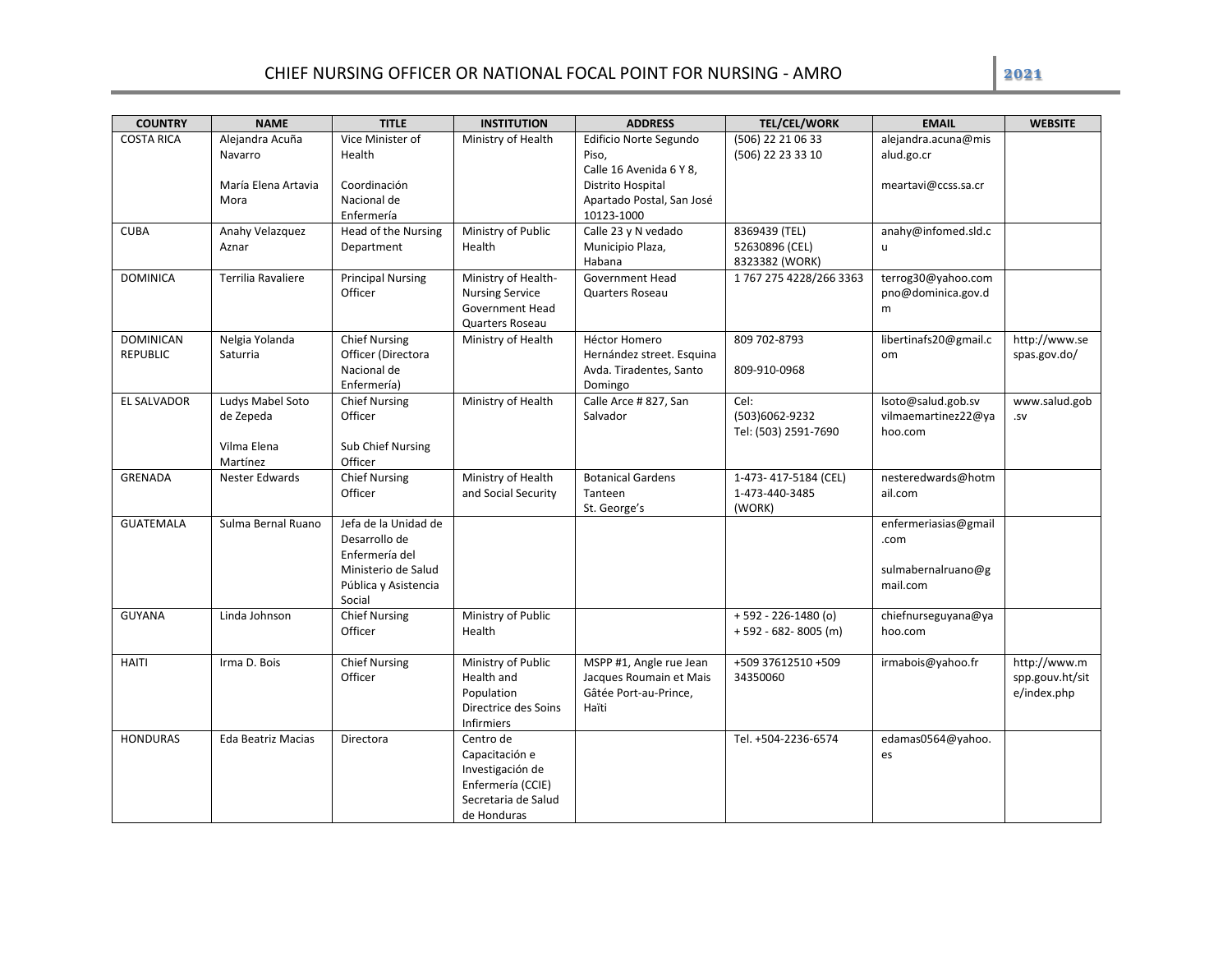| <b>COUNTRY</b>                      | <b>NAME</b>                                              | <b>TITLE</b>                                                                                                     | <b>INSTITUTION</b>                                                                                         | <b>ADDRESS</b>                                                                       | <b>TEL/CEL/WORK</b>                                | <b>EMAIL</b>                                                   | <b>WEBSITE</b>                                 |
|-------------------------------------|----------------------------------------------------------|------------------------------------------------------------------------------------------------------------------|------------------------------------------------------------------------------------------------------------|--------------------------------------------------------------------------------------|----------------------------------------------------|----------------------------------------------------------------|------------------------------------------------|
| <b>COSTA RICA</b>                   | Alejandra Acuña<br>Navarro<br>María Elena Artavia        | Vice Minister of<br>Health<br>Coordinación                                                                       | Ministry of Health                                                                                         | Edificio Norte Segundo<br>Piso,<br>Calle 16 Avenida 6 Y 8,<br>Distrito Hospital      | (506) 22 21 06 33<br>(506) 22 23 33 10             | alejandra.acuna@mis<br>alud.go.cr<br>meartavi@ccss.sa.cr       |                                                |
|                                     | Mora                                                     | Nacional de<br>Enfermería                                                                                        |                                                                                                            | Apartado Postal, San José<br>10123-1000                                              |                                                    |                                                                |                                                |
| <b>CUBA</b>                         | Anahy Velazquez<br>Aznar                                 | Head of the Nursing<br>Department                                                                                | Ministry of Public<br>Health                                                                               | Calle 23 y N vedado<br>Municipio Plaza,<br>Habana                                    | 8369439 (TEL)<br>52630896 (CEL)<br>8323382 (WORK)  | anahy@infomed.sld.c<br>u                                       |                                                |
| <b>DOMINICA</b>                     | Terrilia Ravaliere                                       | <b>Principal Nursing</b><br>Officer                                                                              | Ministry of Health-<br><b>Nursing Service</b><br>Government Head<br>Quarters Roseau                        | Government Head<br>Quarters Roseau                                                   | 1 767 275 4228/266 3363                            | terrog30@yahoo.com<br>pno@dominica.gov.d<br>m                  |                                                |
| <b>DOMINICAN</b><br><b>REPUBLIC</b> | Nelgia Yolanda<br>Saturria                               | <b>Chief Nursing</b><br>Officer (Directora<br>Nacional de<br>Enfermería)                                         | Ministry of Health                                                                                         | Héctor Homero<br>Hernández street. Esquina<br>Avda. Tiradentes, Santo<br>Domingo     | 809 702-8793<br>809-910-0968                       | libertinafs20@gmail.c<br>om                                    | http://www.se<br>spas.gov.do/                  |
| EL SALVADOR                         | Ludys Mabel Soto<br>de Zepeda<br>Vilma Elena<br>Martínez | <b>Chief Nursing</b><br>Officer<br>Sub Chief Nursing<br>Officer                                                  | Ministry of Health                                                                                         | Calle Arce #827, San<br>Salvador                                                     | Cel:<br>(503)6062-9232<br>Tel: (503) 2591-7690     | lsoto@salud.gob.sv<br>vilmaemartinez22@ya<br>hoo.com           | www.salud.gob<br>.sv                           |
| <b>GRENADA</b>                      | <b>Nester Edwards</b>                                    | <b>Chief Nursing</b><br>Officer                                                                                  | Ministry of Health<br>and Social Security                                                                  | <b>Botanical Gardens</b><br>Tanteen<br>St. George's                                  | 1-473-417-5184 (CEL)<br>1-473-440-3485<br>(WORK)   | nesteredwards@hotm<br>ail.com                                  |                                                |
| <b>GUATEMALA</b>                    | Sulma Bernal Ruano                                       | Jefa de la Unidad de<br>Desarrollo de<br>Enfermería del<br>Ministerio de Salud<br>Pública y Asistencia<br>Social |                                                                                                            |                                                                                      |                                                    | enfermeriasias@gmail<br>.com<br>sulmabernalruano@g<br>mail.com |                                                |
| <b>GUYANA</b>                       | Linda Johnson                                            | <b>Chief Nursing</b><br>Officer                                                                                  | Ministry of Public<br>Health                                                                               |                                                                                      | $+592 - 226 - 1480$ (o)<br>$+592 - 682 - 8005$ (m) | chiefnurseguyana@ya<br>hoo.com                                 |                                                |
| HAITI                               | Irma D. Bois                                             | <b>Chief Nursing</b><br>Officer                                                                                  | Ministry of Public<br>Health and<br>Population<br>Directrice des Soins<br><b>Infirmiers</b>                | MSPP #1, Angle rue Jean<br>Jacques Roumain et Mais<br>Gâtée Port-au-Prince,<br>Haïti | +509 37612510 +509<br>34350060                     | irmabois@yahoo.fr                                              | http://www.m<br>spp.gouv.ht/sit<br>e/index.php |
| <b>HONDURAS</b>                     | Eda Beatriz Macias                                       | Directora                                                                                                        | Centro de<br>Capacitación e<br>Investigación de<br>Enfermería (CCIE)<br>Secretaria de Salud<br>de Honduras |                                                                                      | Tel. +504-2236-6574                                | edamas0564@yahoo.<br>es                                        |                                                |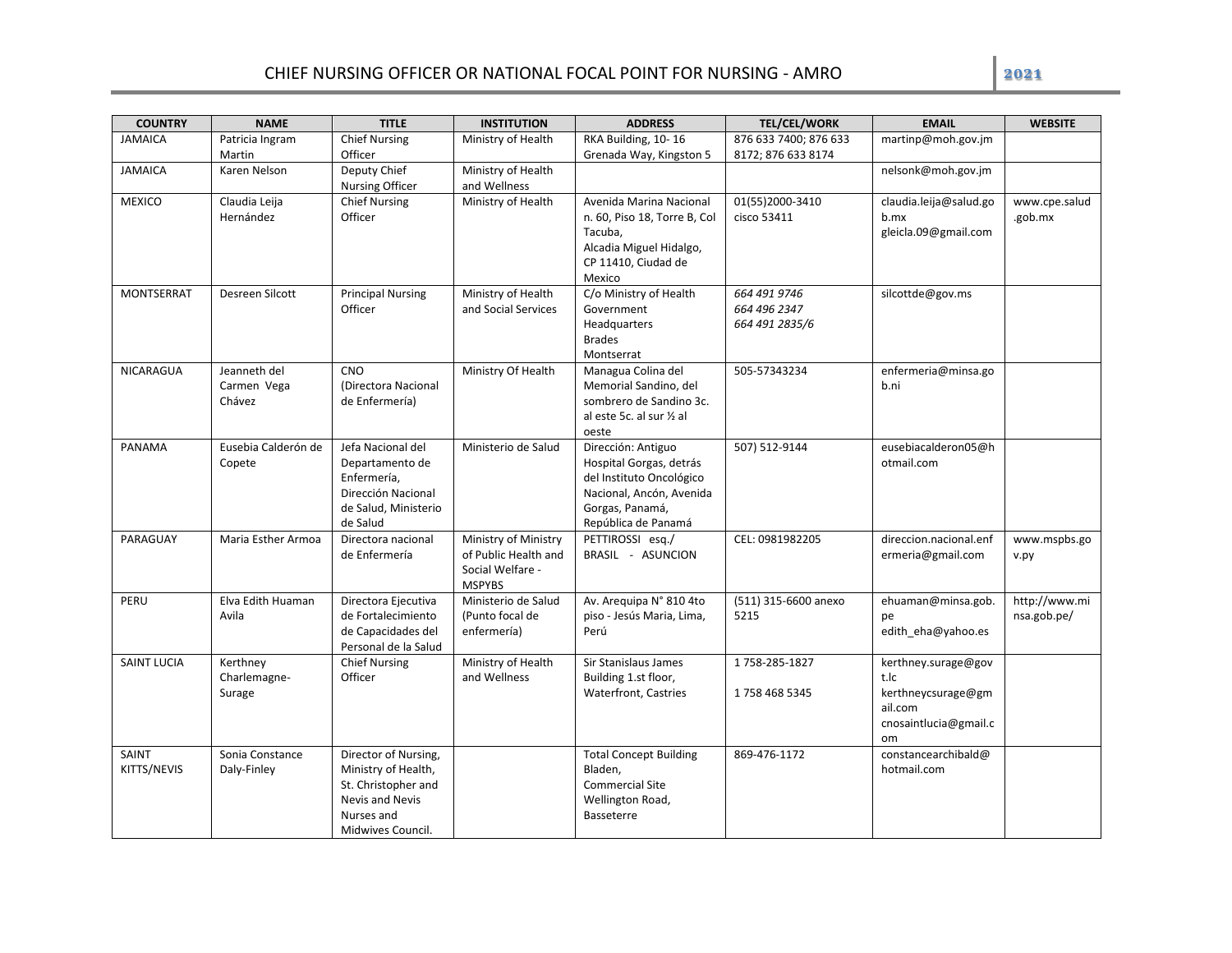| <b>COUNTRY</b>     | <b>NAME</b>                 | <b>TITLE</b>                    | <b>INSTITUTION</b>                 | <b>ADDRESS</b>                               | <b>TEL/CEL/WORK</b>   | <b>EMAIL</b>                   | <b>WEBSITE</b> |
|--------------------|-----------------------------|---------------------------------|------------------------------------|----------------------------------------------|-----------------------|--------------------------------|----------------|
| <b>JAMAICA</b>     | Patricia Ingram             | <b>Chief Nursing</b>            | Ministry of Health                 | RKA Building, 10-16                          | 876 633 7400; 876 633 | martinp@moh.gov.jm             |                |
|                    | Martin                      | Officer                         |                                    | Grenada Way, Kingston 5                      | 8172; 876 633 8174    |                                |                |
| <b>JAMAICA</b>     | Karen Nelson                | Deputy Chief                    | Ministry of Health                 |                                              |                       | nelsonk@moh.gov.jm             |                |
|                    |                             | <b>Nursing Officer</b>          | and Wellness                       |                                              |                       |                                |                |
| <b>MEXICO</b>      | Claudia Leija<br>Hernández  | <b>Chief Nursing</b><br>Officer | Ministry of Health                 | Avenida Marina Nacional                      | 01(55)2000-3410       | claudia.leija@salud.go<br>b.mx | www.cpe.salud  |
|                    |                             |                                 |                                    | n. 60, Piso 18, Torre B, Col<br>Tacuba,      | cisco 53411           | gleicla.09@gmail.com           | .gob.mx        |
|                    |                             |                                 |                                    | Alcadia Miguel Hidalgo,                      |                       |                                |                |
|                    |                             |                                 |                                    | CP 11410, Ciudad de                          |                       |                                |                |
|                    |                             |                                 |                                    | Mexico                                       |                       |                                |                |
| <b>MONTSERRAT</b>  | Desreen Silcott             | <b>Principal Nursing</b>        | Ministry of Health                 | C/o Ministry of Health                       | 664 491 9746          | silcottde@gov.ms               |                |
|                    |                             | Officer                         | and Social Services                | Government                                   | 664 496 2347          |                                |                |
|                    |                             |                                 |                                    | Headquarters                                 | 664 491 2835/6        |                                |                |
|                    |                             |                                 |                                    | <b>Brades</b>                                |                       |                                |                |
|                    |                             | <b>CNO</b>                      |                                    | Montserrat                                   |                       |                                |                |
| <b>NICARAGUA</b>   | Jeanneth del<br>Carmen Vega | (Directora Nacional             | Ministry Of Health                 | Managua Colina del<br>Memorial Sandino, del  | 505-57343234          | enfermeria@minsa.go<br>b.ni    |                |
|                    | Chávez                      | de Enfermería)                  |                                    | sombrero de Sandino 3c.                      |                       |                                |                |
|                    |                             |                                 |                                    | al este 5c. al sur ½ al                      |                       |                                |                |
|                    |                             |                                 |                                    | oeste                                        |                       |                                |                |
| PANAMA             | Eusebia Calderón de         | Jefa Nacional del               | Ministerio de Salud                | Dirección: Antiguo                           | 507) 512-9144         | eusebiacalderon05@h            |                |
|                    | Copete                      | Departamento de                 |                                    | Hospital Gorgas, detrás                      |                       | otmail.com                     |                |
|                    |                             | Enfermería.                     |                                    | del Instituto Oncológico                     |                       |                                |                |
|                    |                             | Dirección Nacional              |                                    | Nacional, Ancón, Avenida                     |                       |                                |                |
|                    |                             | de Salud, Ministerio            |                                    | Gorgas, Panamá,                              |                       |                                |                |
| PARAGUAY           | Maria Esther Armoa          | de Salud<br>Directora nacional  | Ministry of Ministry               | República de Panamá<br>PETTIROSSI esg./      | CEL: 0981982205       | direccion.nacional.enf         | www.mspbs.go   |
|                    |                             | de Enfermería                   | of Public Health and               | BRASIL - ASUNCION                            |                       | ermeria@gmail.com              | v.py           |
|                    |                             |                                 | Social Welfare -                   |                                              |                       |                                |                |
|                    |                             |                                 | <b>MSPYBS</b>                      |                                              |                       |                                |                |
| PERU               | Elva Edith Huaman           | Directora Ejecutiva             | Ministerio de Salud                | Av. Arequipa N° 810 4to                      | (511) 315-6600 anexo  | ehuaman@minsa.gob.             | http://www.mi  |
|                    | Avila                       | de Fortalecimiento              | (Punto focal de                    | piso - Jesús Maria, Lima,                    | 5215                  | pe                             | nsa.gob.pe/    |
|                    |                             | de Capacidades del              | enfermería)                        | Perú                                         |                       | edith eha@yahoo.es             |                |
|                    |                             | Personal de la Salud            |                                    |                                              |                       |                                |                |
| <b>SAINT LUCIA</b> | Kerthney<br>Charlemagne-    | <b>Chief Nursing</b><br>Officer | Ministry of Health<br>and Wellness | Sir Stanislaus James<br>Building 1.st floor, | 1758-285-1827         | kerthney.surage@gov<br>t.lc    |                |
|                    | Surage                      |                                 |                                    | <b>Waterfront, Castries</b>                  | 1758 468 5345         | kerthneycsurage@gm             |                |
|                    |                             |                                 |                                    |                                              |                       | ail.com                        |                |
|                    |                             |                                 |                                    |                                              |                       | cnosaintlucia@gmail.c          |                |
|                    |                             |                                 |                                    |                                              |                       | om                             |                |
| SAINT              | Sonia Constance             | Director of Nursing,            |                                    | <b>Total Concept Building</b>                | 869-476-1172          | constancearchibald@            |                |
| KITTS/NEVIS        | Daly-Finley                 | Ministry of Health,             |                                    | Bladen,                                      |                       | hotmail.com                    |                |
|                    |                             | St. Christopher and             |                                    | <b>Commercial Site</b>                       |                       |                                |                |
|                    |                             | Nevis and Nevis                 |                                    | Wellington Road,                             |                       |                                |                |
|                    |                             | Nurses and<br>Midwives Council. |                                    | Basseterre                                   |                       |                                |                |
|                    |                             |                                 |                                    |                                              |                       |                                |                |